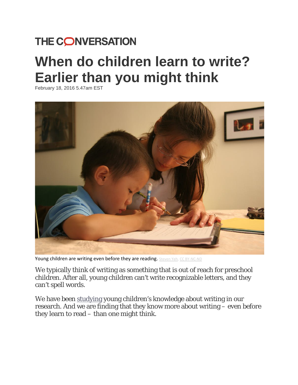## THE CONVERSATION

# **When do children learn to write? Earlier than you might think**

February 18, 2016 5.47am EST



Young children are writing even before they are reading. [Steven](https://www.flickr.com/photos/radioflyer007/1471652986/in/photolist-3f3Bam-s6Zvyc-8FtWXT-gnthDM-gnt16q-N7Zdr-8REmPR-8Fx75W-8FtVNR-8FtXST-73j5zZ-7UQuxP-7UQuw2-dsLkS6-dsLvqm-dr7ZBT-dsLvsG-mFcTct-mFcVyH-e6VpZi-e723Yf-2pMGZ-mFd5ji-mFd4QH-mFeWWh-mFdoe4-mFdncp-mFd6mZ-8NzkqD-8NCqQm-8NCqwY-drEKDL-drEAQ2-drEKBy-drEKCN-72pExw-73iUCK-8NCqNJ-8Nzk4k-8NzjTZ-8NCqs7-8NCqoU-8NCqgL-8NCqys-8NCqCh-8NzjVk-dRxssL-8N6Gmz-8N6GC6-8N9LH1) Yeh, CC [BY-NC-ND](http://creativecommons.org/licenses/by-nc-nd/4.0/)

We typically think of writing as something that is out of reach for preschool children. After all, young children can't write recognizable letters, and they can't spell words.

We have been [studying](http://onlinelibrary.wiley.com/doi/10.1111/cdev.12478/abstract;jsessionid=01153C9AAA774A22DE550D06C0404C13.f04t02?systemMessage=Wiley+Online+Library+will+be+unavailable+on+Saturday+27th+February+from+09%3A00-14%3A00+GMT+%2F+04%3A00-09%3A00+EST+%2F+17%3A00-22%3A00+SGT+for+essential+maintenance.++Apologies+for+the+inconvenience.&userIsAuthenticated=false&deniedAccessCustomisedMessage=) young children's knowledge about writing in our research. And we are finding that they know more about writing – even before they learn to read – than one might think.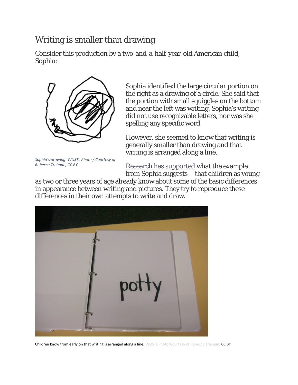### Writing is smaller than drawing

Consider this production by a two-and-a-half-year-old American child, Sophia:



*Sophia's drawing. WUSTL Photo / Courtesy of Rebecca Treiman, CC BY*

Sophia identified the large circular portion on the right as a drawing of a circle. She said that the portion with small squiggles on the bottom and near the left was writing. Sophia's writing did not use recognizable letters, nor was she spelling any specific word.

However, she seemed to know that writing is generally smaller than drawing and that writing is arranged along a line.

[Research has supported](http://onlinelibrary.wiley.com/doi/10.1598/RRQ.43.1.5/abstract) what the example from Sophia suggests – that children as young

as two or three years of age already know about some of the basic differences in appearance between writing and pictures. They try to reproduce these differences in their own attempts to write and draw.



Children know from early on that writing is arranged along a line. WUSTL Photo/Courtesy of Rebecca Treiman, [CC](http://creativecommons.org/licenses/by/4.0/) BY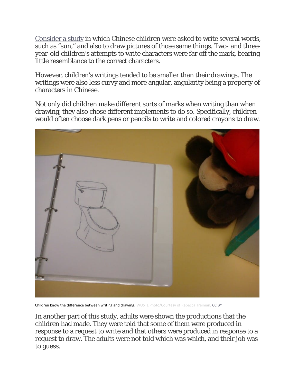[Consider a study](http://doi.org/10.1016/j.jecp.2010.08.013) in which Chinese children were asked to write several words, such as "sun," and also to draw pictures of those same things. Two- and threeyear-old children's attempts to write characters were far off the mark, bearing little resemblance to the correct characters.

However, children's writings tended to be smaller than their drawings. The writings were also less curvy and more angular, angularity being a property of characters in Chinese.

Not only did children make different sorts of marks when writing than when drawing, they also chose different implements to do so. Specifically, children would often choose dark pens or pencils to write and colored crayons to draw.



Children know the difference between writing and drawing. WUSTL Photo/Courtesy of Rebecca Treiman, [CC](http://creativecommons.org/licenses/by/4.0/) BY

In another part of this study, adults were shown the productions that the children had made. They were told that some of them were produced in response to a request to write and that others were produced in response to a request to draw. The adults were not told which was which, and their job was to guess.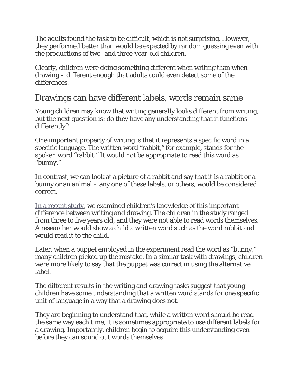The adults found the task to be difficult, which is not surprising. However, they performed better than would be expected by random guessing even with the productions of two- and three-year-old children.

Clearly, children were doing something different when writing than when drawing – different enough that adults could even detect some of the differences.

#### Drawings can have different labels, words remain same

Young children may know that writing generally looks different from writing, but the next question is: do they have any understanding that it functions differently?

One important property of writing is that it represents a specific word in a specific language. The written word "rabbit," for example, stands for the spoken word "rabbit." It would not be appropriate to read this word as "bunny."

In contrast, we can look at a picture of a rabbit and say that it is a rabbit or a bunny or an animal – any one of these labels, or others, would be considered correct.

[In a recent study,](http://doi.org/10.1111/cdev.12478) we examined children's knowledge of this important difference between writing and drawing. The children in the study ranged from three to five years old, and they were not able to read words themselves. A researcher would show a child a written word such as the word rabbit and would read it to the child.

Later, when a puppet employed in the experiment read the word as "bunny," many children picked up the mistake. In a similar task with drawings, children were more likely to say that the puppet was correct in using the alternative label.

The different results in the writing and drawing tasks suggest that young children have some understanding that a written word stands for one specific unit of language in a way that a drawing does not.

They are beginning to understand that, while a written word should be read the same way each time, it is sometimes appropriate to use different labels for a drawing. Importantly, children begin to acquire this understanding even before they can sound out words themselves.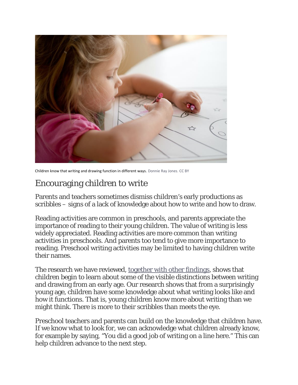

Children know that writing and drawing function in different ways. [Donnie](https://www.flickr.com/photos/donnieray/25011363125/in/photolist-E7aLSH-4Vu2kb-83Dx4q-i6yCh-dNjh4k-dNpRpf-dNpRwm-dNpRuS-dNjgTF-dNpRvh-dNpRCw-dNpRDN-dNjh1V-dNpRyC-pxrWN-LAMe1-4B6VnH-4ERSZL-27u8D-7HMQMS-27u4h-ehncU4-96n6Yn-fTaEiQ-6fMM6i-n9L9W-ikVsYr-8tE9z7-fy2ypE-2BzZNk-cJjCZ7-7LQBv7-94EcJg-8tB8ak-guJ9jQ-CQsC7Y-8mLSuL-befrR-8tB7Tg-fnywF-4kDvPm-9D9Xdv-3eYru-4kDvhh-5xp7ZC-3eYre-2wKYbU-t15jkU-5xjFzP-7xFbUV) Ray Jones, [CC](http://creativecommons.org/licenses/by/4.0/) BY

### Encouraging children to write

Parents and teachers sometimes dismiss children's early productions as scribbles – signs of a lack of knowledge about how to write and how to draw.

Reading activities are common in preschools, and parents appreciate the importance of reading to their young children. The value of writing is less widely appreciated. Reading activities are more common than writing activities in preschools. And parents too tend to give more importance to reading. Preschool writing activities may be limited to having children write their names.

The research we have reviewed, [together with other findings,](http://doi.org/10.1598/rrq.43.1.5) shows that children begin to learn about some of the visible distinctions between writing and drawing from an early age. Our research shows that from a surprisingly young age, children have some knowledge about what writing looks like and how it functions. That is, young children know more about writing than we might think. There is more to their scribbles than meets the eye.

Preschool teachers and parents can build on the knowledge that children have. If we know what to look for, we can acknowledge what children already know, for example by saying, "You did a good job of writing on a line here." This can help children advance to the next step.